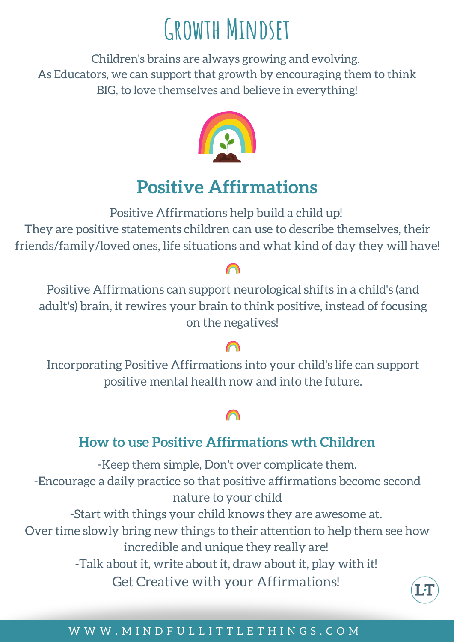# **Growth Mindset**

Children's brains are always growing and evolving. As Educators, we can support that growth by encouraging them to think BIG, to love themselves and believe in everything!



# **Positive Affirmations**

Positive Affirmations help build a child up!

They are positive statements children can use to describe themselves, their friends/family/loved ones, life situations and what kind of day they will have!

Positive Affirmations can support neurological shifts in a child's (and adult's) brain, it rewires your brain to think positive, instead of focusing on the negatives!

Incorporating Positive Affirmations into your child's life can support positive mental health now and into the future.

## **How to use Positive Affirmations wth Children**

-Keep them simple, Don't over complicate them. -Encourage a daily practice so that positive affirmations become second nature to your child -Start with things your child knows they are awesome at. Over time slowly bring new things to their attention to help them see how incredible and unique they really are!

-Talk about it, write about it, draw about it, play with it!

Get Creative with your Affirmations!



### W W W . M I N D F U L L I T T L E T H I N G S . C O M